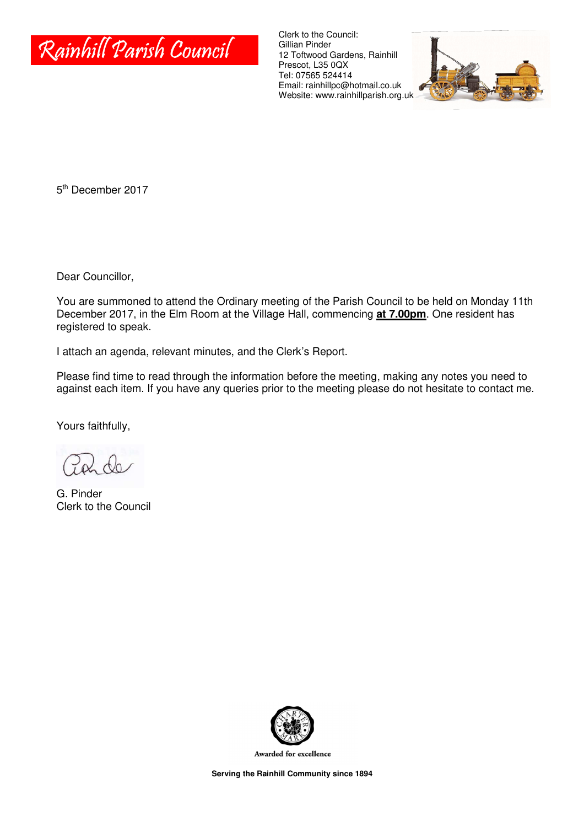

Clerk to the Council: Gillian Pinder 12 Toftwood Gardens, Rainhill Prescot, L35 0QX Tel: 07565 524414 Email: rainhillpc@hotmail.co.uk Website: www.rainhillparish.org.uk



5<sup>th</sup> December 2017

Dear Councillor,

You are summoned to attend the Ordinary meeting of the Parish Council to be held on Monday 11th December 2017, in the Elm Room at the Village Hall, commencing **at 7.00pm**. One resident has registered to speak.

I attach an agenda, relevant minutes, and the Clerk's Report.

Please find time to read through the information before the meeting, making any notes you need to against each item. If you have any queries prior to the meeting please do not hesitate to contact me.

Yours faithfully,

G. Pinder Clerk to the Council



Awarded for excellence

**Serving the Rainhill Community since 1894**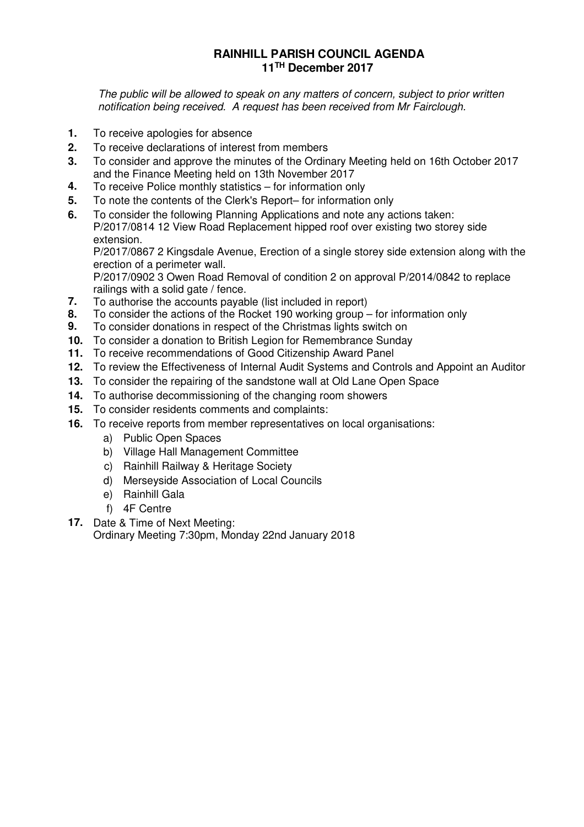# **RAINHILL PARISH COUNCIL AGENDA 11TH December 2017**

The public will be allowed to speak on any matters of concern, subject to prior written notification being received. A request has been received from Mr Fairclough.

- **1.** To receive apologies for absence
- **2.** To receive declarations of interest from members
- **3.** To consider and approve the minutes of the Ordinary Meeting held on 16th October 2017 and the Finance Meeting held on 13th November 2017
- **4.** To receive Police monthly statistics for information only
- **5.** To note the contents of the Clerk's Report– for information only
- **6.** To consider the following Planning Applications and note any actions taken: P/2017/0814 12 View Road Replacement hipped roof over existing two storey side extension.

P/2017/0867 2 Kingsdale Avenue, Erection of a single storey side extension along with the erection of a perimeter wall.

P/2017/0902 3 Owen Road Removal of condition 2 on approval P/2014/0842 to replace railings with a solid gate / fence.

- **7.** To authorise the accounts payable (list included in report)<br>**8.** To consider the actions of the Rocket 190 working aroun -
- **8.** To consider the actions of the Rocket 190 working group for information only
- **9.** To consider donations in respect of the Christmas lights switch on
- **10.** To consider a donation to British Legion for Remembrance Sunday
- **11.** To receive recommendations of Good Citizenship Award Panel
- **12.** To review the Effectiveness of Internal Audit Systems and Controls and Appoint an Auditor
- **13.** To consider the repairing of the sandstone wall at Old Lane Open Space
- **14.** To authorise decommissioning of the changing room showers
- **15.** To consider residents comments and complaints:
- **16.** To receive reports from member representatives on local organisations:
	- a) Public Open Spaces
	- b) Village Hall Management Committee
	- c) Rainhill Railway & Heritage Society
	- d) Merseyside Association of Local Councils
	- e) Rainhill Gala
	- f) 4F Centre
- **17.** Date & Time of Next Meeting: Ordinary Meeting 7:30pm, Monday 22nd January 2018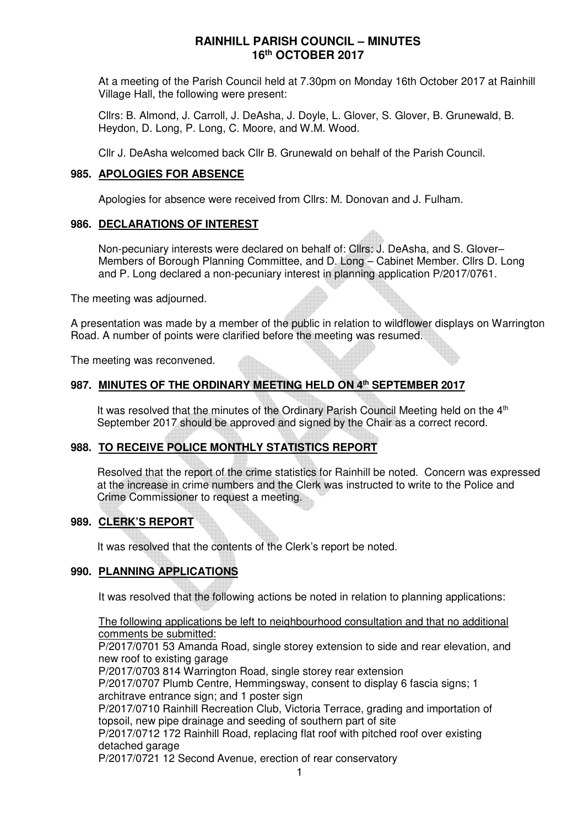At a meeting of the Parish Council held at 7.30pm on Monday 16th October 2017 at Rainhill Village Hall, the following were present:

Cllrs: B. Almond, J. Carroll, J. DeAsha, J. Doyle, L. Glover, S. Glover, B. Grunewald, B. Heydon, D. Long, P. Long, C. Moore, and W.M. Wood.

Cllr J. DeAsha welcomed back Cllr B. Grunewald on behalf of the Parish Council.

### **985. APOLOGIES FOR ABSENCE**

Apologies for absence were received from Cllrs: M. Donovan and J. Fulham.

### **986. DECLARATIONS OF INTEREST**

Non-pecuniary interests were declared on behalf of: Cllrs: J. DeAsha, and S. Glover– Members of Borough Planning Committee, and D. Long – Cabinet Member. Cllrs D. Long and P. Long declared a non-pecuniary interest in planning application P/2017/0761.

The meeting was adjourned.

A presentation was made by a member of the public in relation to wildflower displays on Warrington Road. A number of points were clarified before the meeting was resumed.

The meeting was reconvened.

# **987. MINUTES OF THE ORDINARY MEETING HELD ON 4th SEPTEMBER 2017**

It was resolved that the minutes of the Ordinary Parish Council Meeting held on the  $4<sup>th</sup>$ September 2017 should be approved and signed by the Chair as a correct record.

# **988. TO RECEIVE POLICE MONTHLY STATISTICS REPORT**

Resolved that the report of the crime statistics for Rainhill be noted. Concern was expressed at the increase in crime numbers and the Clerk was instructed to write to the Police and Crime Commissioner to request a meeting.

# **989. CLERK'S REPORT**

It was resolved that the contents of the Clerk's report be noted.

# **990. PLANNING APPLICATIONS**

It was resolved that the following actions be noted in relation to planning applications:

### The following applications be left to neighbourhood consultation and that no additional comments be submitted:

P/2017/0701 53 Amanda Road, single storey extension to side and rear elevation, and new roof to existing garage

P/2017/0703 814 Warrington Road, single storey rear extension

P/2017/0707 Plumb Centre, Hemmingsway, consent to display 6 fascia signs; 1 architrave entrance sign; and 1 poster sign

P/2017/0710 Rainhill Recreation Club, Victoria Terrace, grading and importation of topsoil, new pipe drainage and seeding of southern part of site

P/2017/0712 172 Rainhill Road, replacing flat roof with pitched roof over existing detached garage

P/2017/0721 12 Second Avenue, erection of rear conservatory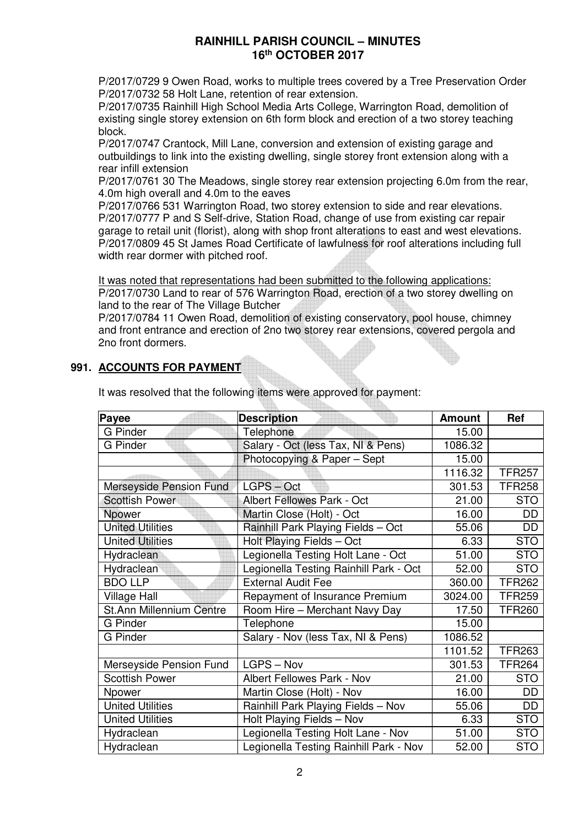P/2017/0729 9 Owen Road, works to multiple trees covered by a Tree Preservation Order P/2017/0732 58 Holt Lane, retention of rear extension.

P/2017/0735 Rainhill High School Media Arts College, Warrington Road, demolition of existing single storey extension on 6th form block and erection of a two storey teaching block.

P/2017/0747 Crantock, Mill Lane, conversion and extension of existing garage and outbuildings to link into the existing dwelling, single storey front extension along with a rear infill extension

P/2017/0761 30 The Meadows, single storey rear extension projecting 6.0m from the rear, 4.0m high overall and 4.0m to the eaves

P/2017/0766 531 Warrington Road, two storey extension to side and rear elevations. P/2017/0777 P and S Self-drive, Station Road, change of use from existing car repair garage to retail unit (florist), along with shop front alterations to east and west elevations. P/2017/0809 45 St James Road Certificate of lawfulness for roof alterations including full width rear dormer with pitched roof.

It was noted that representations had been submitted to the following applications: P/2017/0730 Land to rear of 576 Warrington Road, erection of a two storey dwelling on land to the rear of The Village Butcher

P/2017/0784 11 Owen Road, demolition of existing conservatory, pool house, chimney and front entrance and erection of 2no two storey rear extensions, covered pergola and 2no front dormers.

# **991. ACCOUNTS FOR PAYMENT**

| Payee                           | <b>Description</b>                     | <b>Amount</b> | Ref           |
|---------------------------------|----------------------------------------|---------------|---------------|
| G Pinder                        | <b>Telephone</b>                       | 15.00         |               |
| <b>G</b> Pinder                 | Salary - Oct (less Tax, NI & Pens)     | 1086.32       |               |
|                                 | Photocopying & Paper - Sept            | 15.00         |               |
|                                 |                                        | 1116.32       | <b>TFR257</b> |
| Merseyside Pension Fund         | LGPS - Oct                             | 301.53        | <b>TFR258</b> |
| <b>Scottish Power</b>           | Albert Fellowes Park - Oct             | 21.00         | <b>STO</b>    |
| Npower                          | Martin Close (Holt) - Oct              | 16.00         | DD            |
| <b>United Utilities</b>         | Rainhill Park Playing Fields - Oct     | 55.06         | DD            |
| <b>United Utilities</b>         | Holt Playing Fields - Oct              | 6.33          | <b>STO</b>    |
| Hydraclean                      | Legionella Testing Holt Lane - Oct     | 51.00         | <b>STO</b>    |
| Hydraclean                      | Legionella Testing Rainhill Park - Oct | 52.00         | <b>STO</b>    |
| <b>BDO LLP</b>                  | <b>External Audit Fee</b>              | 360.00        | <b>TFR262</b> |
| <b>Village Hall</b>             | Repayment of Insurance Premium         | 3024.00       | <b>TFR259</b> |
| <b>St.Ann Millennium Centre</b> | Room Hire - Merchant Navy Day          | 17.50         | <b>TFR260</b> |
| <b>G</b> Pinder                 | Telephone                              | 15.00         |               |
| G Pinder                        | Salary - Nov (less Tax, NI & Pens)     | 1086.52       |               |
|                                 |                                        | 1101.52       | <b>TFR263</b> |
| Merseyside Pension Fund         | LGPS - Nov                             | 301.53        | <b>TFR264</b> |
| <b>Scottish Power</b>           | Albert Fellowes Park - Nov             | 21.00         | <b>STO</b>    |
| Npower                          | Martin Close (Holt) - Nov              | 16.00         | DD            |
| <b>United Utilities</b>         | Rainhill Park Playing Fields - Nov     | 55.06         | DD            |
| <b>United Utilities</b>         | Holt Playing Fields - Nov              | 6.33          | <b>STO</b>    |
| Hydraclean                      | Legionella Testing Holt Lane - Nov     | 51.00         | <b>STO</b>    |
| Hydraclean                      | Legionella Testing Rainhill Park - Nov | 52.00         | <b>STO</b>    |

It was resolved that the following items were approved for payment: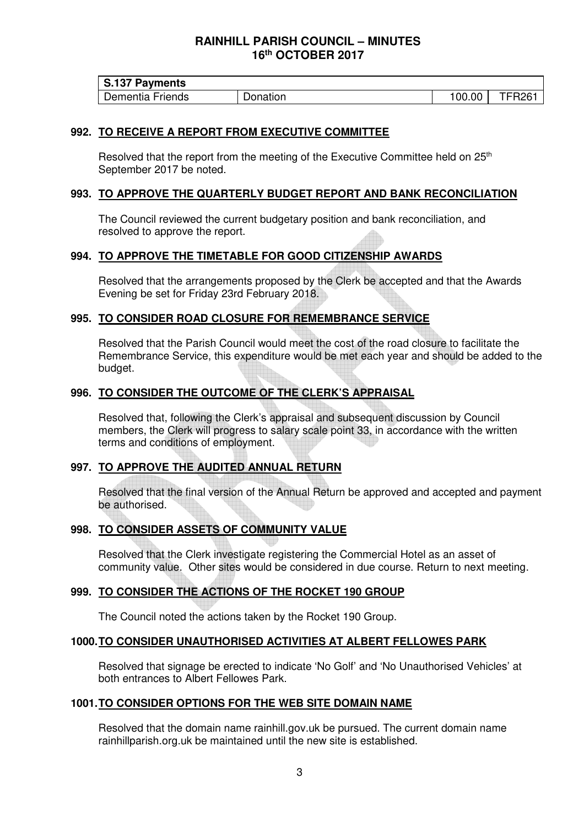| <b>S.137 Payments</b> |          |       |                   |
|-----------------------|----------|-------|-------------------|
| Dementia Friends      | Donation | 00.00 | TFR <sub>26</sub> |

### **992. TO RECEIVE A REPORT FROM EXECUTIVE COMMITTEE**

Resolved that the report from the meeting of the Executive Committee held on 25<sup>th</sup> September 2017 be noted.

### **993. TO APPROVE THE QUARTERLY BUDGET REPORT AND BANK RECONCILIATION**

The Council reviewed the current budgetary position and bank reconciliation, and resolved to approve the report.

# **994. TO APPROVE THE TIMETABLE FOR GOOD CITIZENSHIP AWARDS**

Resolved that the arrangements proposed by the Clerk be accepted and that the Awards Evening be set for Friday 23rd February 2018.

# **995. TO CONSIDER ROAD CLOSURE FOR REMEMBRANCE SERVICE**

Resolved that the Parish Council would meet the cost of the road closure to facilitate the Remembrance Service, this expenditure would be met each year and should be added to the budget.

### **996. TO CONSIDER THE OUTCOME OF THE CLERK'S APPRAISAL**

Resolved that, following the Clerk's appraisal and subsequent discussion by Council members, the Clerk will progress to salary scale point 33, in accordance with the written terms and conditions of employment.

# **997. TO APPROVE THE AUDITED ANNUAL RETURN**

Resolved that the final version of the Annual Return be approved and accepted and payment be authorised.

### **998. TO CONSIDER ASSETS OF COMMUNITY VALUE**

Resolved that the Clerk investigate registering the Commercial Hotel as an asset of community value. Other sites would be considered in due course. Return to next meeting.

### **999. TO CONSIDER THE ACTIONS OF THE ROCKET 190 GROUP**

The Council noted the actions taken by the Rocket 190 Group.

### **1000. TO CONSIDER UNAUTHORISED ACTIVITIES AT ALBERT FELLOWES PARK**

Resolved that signage be erected to indicate 'No Golf' and 'No Unauthorised Vehicles' at both entrances to Albert Fellowes Park.

### **1001. TO CONSIDER OPTIONS FOR THE WEB SITE DOMAIN NAME**

Resolved that the domain name rainhill.gov.uk be pursued. The current domain name rainhillparish.org.uk be maintained until the new site is established.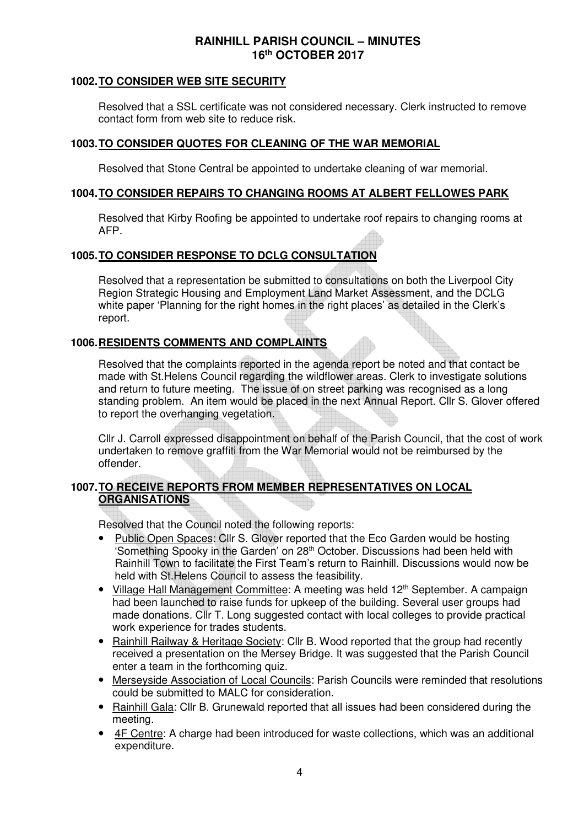# **1002. TO CONSIDER WEB SITE SECURITY**

Resolved that a SSL certificate was not considered necessary. Clerk instructed to remove contact form from web site to reduce risk.

# **1003. TO CONSIDER QUOTES FOR CLEANING OF THE WAR MEMORIAL**

Resolved that Stone Central be appointed to undertake cleaning of war memorial.

### **1004. TO CONSIDER REPAIRS TO CHANGING ROOMS AT ALBERT FELLOWES PARK**

Resolved that Kirby Roofing be appointed to undertake roof repairs to changing rooms at AFP.

# **1005. TO CONSIDER RESPONSE TO DCLG CONSULTATION**

Resolved that a representation be submitted to consultations on both the Liverpool City Region Strategic Housing and Employment Land Market Assessment, and the DCLG white paper 'Planning for the right homes in the right places' as detailed in the Clerk's report.

# **1006. RESIDENTS COMMENTS AND COMPLAINTS**

Resolved that the complaints reported in the agenda report be noted and that contact be made with St.Helens Council regarding the wildflower areas. Clerk to investigate solutions and return to future meeting. The issue of on street parking was recognised as a long standing problem. An item would be placed in the next Annual Report. Cllr S. Glover offered to report the overhanging vegetation.

Cllr J. Carroll expressed disappointment on behalf of the Parish Council, that the cost of work undertaken to remove graffiti from the War Memorial would not be reimbursed by the offender.

# **1007. TO RECEIVE REPORTS FROM MEMBER REPRESENTATIVES ON LOCAL ORGANISATIONS**

Resolved that the Council noted the following reports:

- Public Open Spaces: Cllr S. Glover reported that the Eco Garden would be hosting 'Something Spooky in the Garden' on 28th October. Discussions had been held with Rainhill Town to facilitate the First Team's return to Rainhill. Discussions would now be held with St.Helens Council to assess the feasibility.
- Village Hall Management Committee: A meeting was held 12<sup>th</sup> September. A campaign had been launched to raise funds for upkeep of the building. Several user groups had made donations. Cllr T. Long suggested contact with local colleges to provide practical work experience for trades students.
- Rainhill Railway & Heritage Society: Cllr B. Wood reported that the group had recently received a presentation on the Mersey Bridge. It was suggested that the Parish Council enter a team in the forthcoming quiz.
- Merseyside Association of Local Councils: Parish Councils were reminded that resolutions could be submitted to MALC for consideration.
- Rainhill Gala: Cllr B. Grunewald reported that all issues had been considered during the meeting.
- 4F Centre: A charge had been introduced for waste collections, which was an additional expenditure.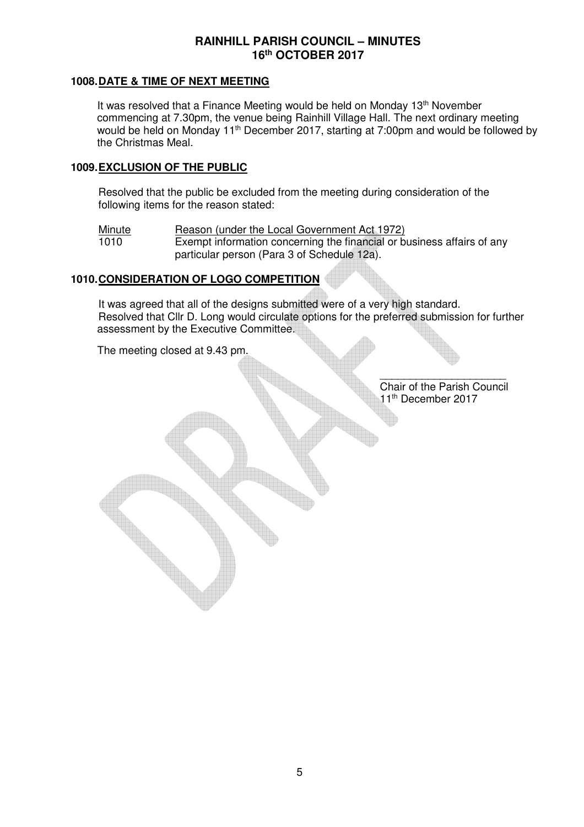### **1008. DATE & TIME OF NEXT MEETING**

It was resolved that a Finance Meeting would be held on Monday 13<sup>th</sup> November commencing at 7.30pm, the venue being Rainhill Village Hall. The next ordinary meeting would be held on Monday 11<sup>th</sup> December 2017, starting at 7:00pm and would be followed by the Christmas Meal.

### **1009. EXCLUSION OF THE PUBLIC**

Resolved that the public be excluded from the meeting during consideration of the following items for the reason stated:

Minute Reason (under the Local Government Act 1972)<br>1010 Exempt information concerning the financial or be Exempt information concerning the financial or business affairs of any particular person (Para 3 of Schedule 12a).

# **1010. CONSIDERATION OF LOGO COMPETITION**

It was agreed that all of the designs submitted were of a very high standard. Resolved that Cllr D. Long would circulate options for the preferred submission for further assessment by the Executive Committee.

The meeting closed at 9.43 pm.

\_\_\_\_\_\_\_\_\_\_\_\_\_\_\_\_\_\_\_\_\_ Chair of the Parish Council 11<sup>th</sup> December 2017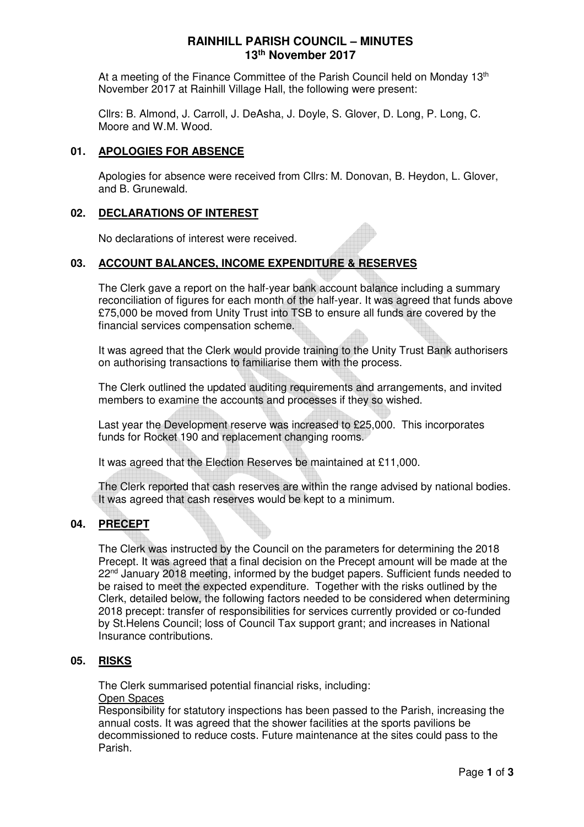# **RAINHILL PARISH COUNCIL – MINUTES 13th November 2017**

At a meeting of the Finance Committee of the Parish Council held on Monday 13<sup>th</sup> November 2017 at Rainhill Village Hall, the following were present:

Cllrs: B. Almond, J. Carroll, J. DeAsha, J. Doyle, S. Glover, D. Long, P. Long, C. Moore and W.M. Wood.

### **01. APOLOGIES FOR ABSENCE**

Apologies for absence were received from Cllrs: M. Donovan, B. Heydon, L. Glover, and B. Grunewald.

# **02. DECLARATIONS OF INTEREST**

No declarations of interest were received.

### **03. ACCOUNT BALANCES, INCOME EXPENDITURE & RESERVES**

The Clerk gave a report on the half-year bank account balance including a summary reconciliation of figures for each month of the half-year. It was agreed that funds above £75,000 be moved from Unity Trust into TSB to ensure all funds are covered by the financial services compensation scheme.

It was agreed that the Clerk would provide training to the Unity Trust Bank authorisers on authorising transactions to familiarise them with the process.

The Clerk outlined the updated auditing requirements and arrangements, and invited members to examine the accounts and processes if they so wished.

Last year the Development reserve was increased to £25,000. This incorporates funds for Rocket 190 and replacement changing rooms.

It was agreed that the Election Reserves be maintained at £11,000.

The Clerk reported that cash reserves are within the range advised by national bodies. It was agreed that cash reserves would be kept to a minimum.

### **04. PRECEPT**

The Clerk was instructed by the Council on the parameters for determining the 2018 Precept. It was agreed that a final decision on the Precept amount will be made at the 22<sup>nd</sup> January 2018 meeting, informed by the budget papers. Sufficient funds needed to be raised to meet the expected expenditure. Together with the risks outlined by the Clerk, detailed below, the following factors needed to be considered when determining 2018 precept: transfer of responsibilities for services currently provided or co-funded by St.Helens Council; loss of Council Tax support grant; and increases in National Insurance contributions.

### **05. RISKS**

The Clerk summarised potential financial risks, including:

# Open Spaces

Responsibility for statutory inspections has been passed to the Parish, increasing the annual costs. It was agreed that the shower facilities at the sports pavilions be decommissioned to reduce costs. Future maintenance at the sites could pass to the Parish.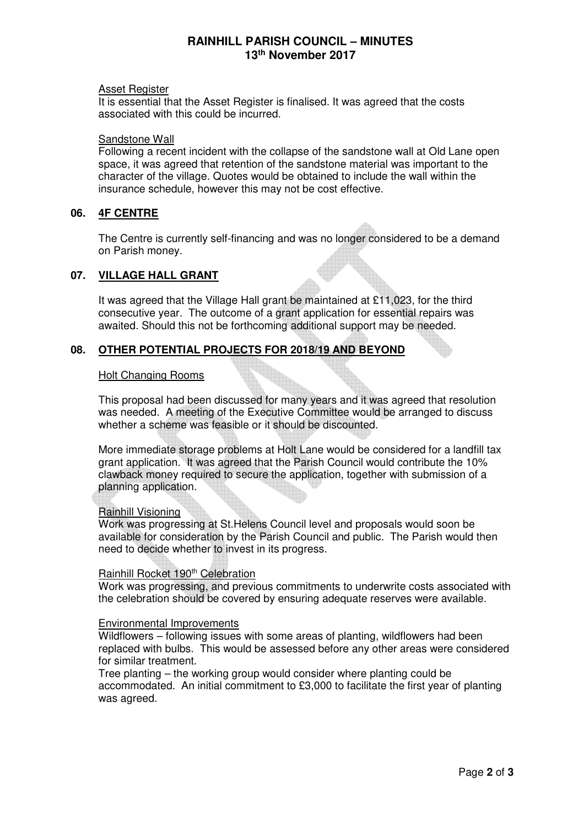# **RAINHILL PARISH COUNCIL – MINUTES 13th November 2017**

### Asset Register

It is essential that the Asset Register is finalised. It was agreed that the costs associated with this could be incurred.

### Sandstone Wall

Following a recent incident with the collapse of the sandstone wall at Old Lane open space, it was agreed that retention of the sandstone material was important to the character of the village. Quotes would be obtained to include the wall within the insurance schedule, however this may not be cost effective.

# **06. 4F CENTRE**

The Centre is currently self-financing and was no longer considered to be a demand on Parish money.

### **07. VILLAGE HALL GRANT**

It was agreed that the Village Hall grant be maintained at £11,023, for the third consecutive year. The outcome of a grant application for essential repairs was awaited. Should this not be forthcoming additional support may be needed.

# **08. OTHER POTENTIAL PROJECTS FOR 2018/19 AND BEYOND**

### Holt Changing Rooms

This proposal had been discussed for many years and it was agreed that resolution was needed. A meeting of the Executive Committee would be arranged to discuss whether a scheme was feasible or it should be discounted.

More immediate storage problems at Holt Lane would be considered for a landfill tax grant application. It was agreed that the Parish Council would contribute the 10% clawback money required to secure the application, together with submission of a planning application.

### Rainhill Visioning

Work was progressing at St.Helens Council level and proposals would soon be available for consideration by the Parish Council and public. The Parish would then need to decide whether to invest in its progress.

### Rainhill Rocket 190<sup>th</sup> Celebration

Work was progressing, and previous commitments to underwrite costs associated with the celebration should be covered by ensuring adequate reserves were available.

### Environmental Improvements

Wildflowers – following issues with some areas of planting, wildflowers had been replaced with bulbs. This would be assessed before any other areas were considered for similar treatment.

Tree planting – the working group would consider where planting could be accommodated. An initial commitment to £3,000 to facilitate the first year of planting was agreed.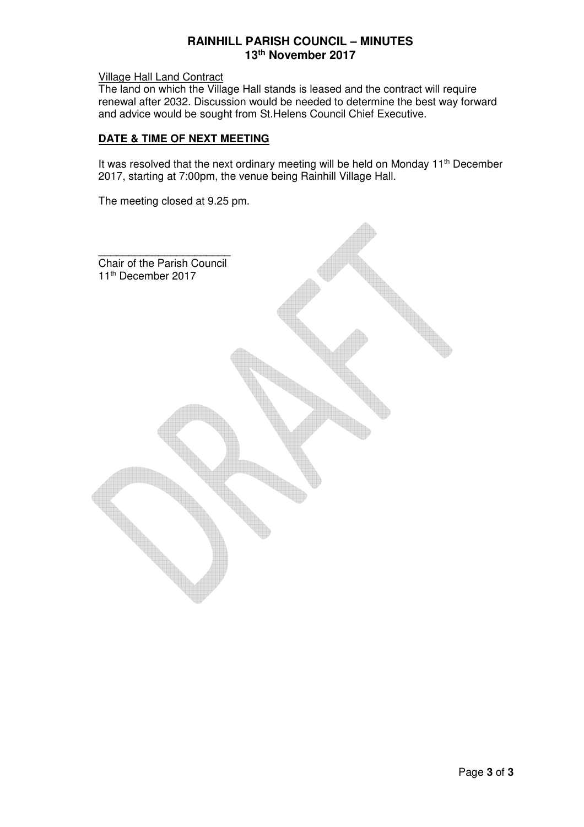# **RAINHILL PARISH COUNCIL – MINUTES 13th November 2017**

Village Hall Land Contract

The land on which the Village Hall stands is leased and the contract will require renewal after 2032. Discussion would be needed to determine the best way forward and advice would be sought from St.Helens Council Chief Executive.

### **DATE & TIME OF NEXT MEETING**

It was resolved that the next ordinary meeting will be held on Monday 11<sup>th</sup> December 2017, starting at 7:00pm, the venue being Rainhill Village Hall.

The meeting closed at 9.25 pm.

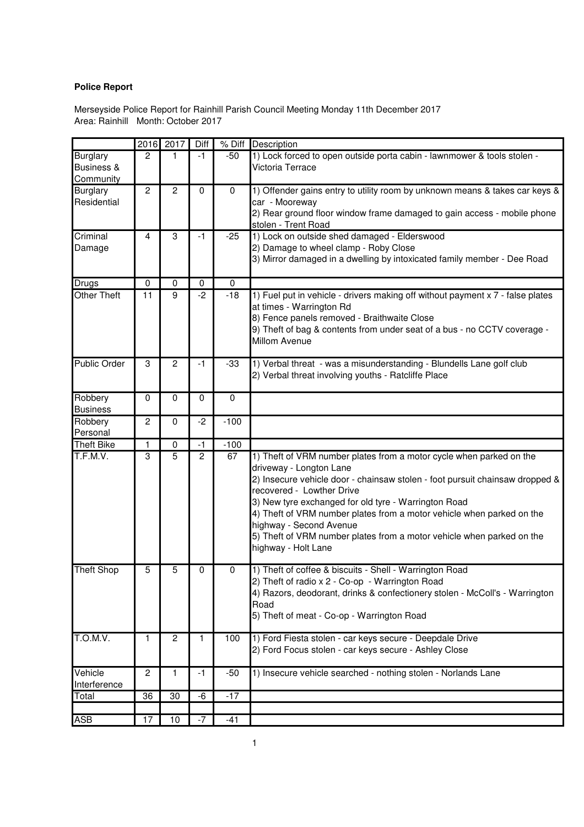# **Police Report**

Area: Rainhill Month: October 2017 Merseyside Police Report for Rainhill Parish Council Meeting Monday 11th December 2017

|                                            | 2016           | 2017           | Diff           | $%$ Diff  | Description                                                                                                                                                                                                                                                                                                                                                                                                                                                             |
|--------------------------------------------|----------------|----------------|----------------|-----------|-------------------------------------------------------------------------------------------------------------------------------------------------------------------------------------------------------------------------------------------------------------------------------------------------------------------------------------------------------------------------------------------------------------------------------------------------------------------------|
| <b>Burglary</b><br>Business &<br>Community | $\overline{c}$ | 1              | $-1$           | $-50$     | 1) Lock forced to open outside porta cabin - lawnmower & tools stolen -<br>Victoria Terrace                                                                                                                                                                                                                                                                                                                                                                             |
| <b>Burglary</b><br>Residential             | $\overline{c}$ | $\overline{2}$ | $\mathbf 0$    | $\pmb{0}$ | 1) Offender gains entry to utility room by unknown means & takes car keys &<br>car - Mooreway<br>2) Rear ground floor window frame damaged to gain access - mobile phone<br>stolen - Trent Road                                                                                                                                                                                                                                                                         |
| Criminal<br>Damage                         | 4              | 3              | $-1$           | $-25$     | 1) Lock on outside shed damaged - Elderswood<br>2) Damage to wheel clamp - Roby Close<br>3) Mirror damaged in a dwelling by intoxicated family member - Dee Road                                                                                                                                                                                                                                                                                                        |
| Drugs                                      | 0              | $\mathbf 0$    | $\pmb{0}$      | $\pmb{0}$ |                                                                                                                                                                                                                                                                                                                                                                                                                                                                         |
| Other Theft                                | 11             | 9              | $-2$           | $-18$     | 1) Fuel put in vehicle - drivers making off without payment x 7 - false plates<br>at times - Warrington Rd<br>8) Fence panels removed - Braithwaite Close<br>9) Theft of bag & contents from under seat of a bus - no CCTV coverage -<br>Millom Avenue                                                                                                                                                                                                                  |
| <b>Public Order</b>                        | 3              | $\overline{2}$ | $-1$           | $-33$     | 1) Verbal threat - was a misunderstanding - Blundells Lane golf club<br>2) Verbal threat involving youths - Ratcliffe Place                                                                                                                                                                                                                                                                                                                                             |
| Robbery<br><b>Business</b>                 | $\mathbf 0$    | $\mathbf 0$    | $\overline{0}$ | $\pmb{0}$ |                                                                                                                                                                                                                                                                                                                                                                                                                                                                         |
| Robbery<br>Personal                        | 2              | $\mathbf 0$    | $-2$           | $-100$    |                                                                                                                                                                                                                                                                                                                                                                                                                                                                         |
| <b>Theft Bike</b>                          | 1              | $\pmb{0}$      | $-1$           | $-100$    |                                                                                                                                                                                                                                                                                                                                                                                                                                                                         |
| T.F.M.V.                                   | 3              | $\overline{5}$ | $\overline{2}$ | 67        | 1) Theft of VRM number plates from a motor cycle when parked on the<br>driveway - Longton Lane<br>2) Insecure vehicle door - chainsaw stolen - foot pursuit chainsaw dropped &<br>recovered - Lowther Drive<br>3) New tyre exchanged for old tyre - Warrington Road<br>4) Theft of VRM number plates from a motor vehicle when parked on the<br>highway - Second Avenue<br>5) Theft of VRM number plates from a motor vehicle when parked on the<br>highway - Holt Lane |
| <b>Theft Shop</b>                          | 5              | 5              | 0              | 0         | 1) Theft of coffee & biscuits - Shell - Warrington Road<br>2) Theft of radio x 2 - Co-op - Warrington Road<br>4) Razors, deodorant, drinks & confectionery stolen - McColl's - Warrington<br>Road<br>5) Theft of meat - Co-op - Warrington Road                                                                                                                                                                                                                         |
| T.O.M.V.                                   | 1              | $\overline{c}$ | 1              | 100       | 1) Ford Fiesta stolen - car keys secure - Deepdale Drive<br>2) Ford Focus stolen - car keys secure - Ashley Close                                                                                                                                                                                                                                                                                                                                                       |
| Vehicle<br>Interference                    | 2              | 1              | -1             | $-50$     | 1) Insecure vehicle searched - nothing stolen - Norlands Lane                                                                                                                                                                                                                                                                                                                                                                                                           |
| Total                                      | 36             | 30             | -6             | $-17$     |                                                                                                                                                                                                                                                                                                                                                                                                                                                                         |
| <b>ASB</b>                                 | 17             | 10             | -7             | $-41$     |                                                                                                                                                                                                                                                                                                                                                                                                                                                                         |
|                                            |                |                |                |           |                                                                                                                                                                                                                                                                                                                                                                                                                                                                         |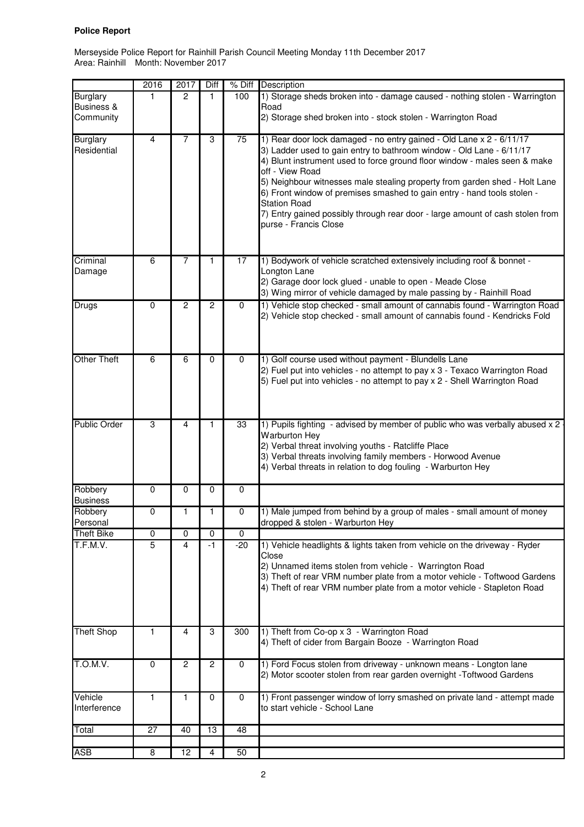### **Police Report**

Area: Rainhill Month: November 2017 Merseyside Police Report for Rainhill Parish Council Meeting Monday 11th December 2017

|                                                       | 2016           | 2017           | Diff           | % Diff      | Description                                                                                                                                                                                                                                                                                                                                                                                                                                                                                                                            |
|-------------------------------------------------------|----------------|----------------|----------------|-------------|----------------------------------------------------------------------------------------------------------------------------------------------------------------------------------------------------------------------------------------------------------------------------------------------------------------------------------------------------------------------------------------------------------------------------------------------------------------------------------------------------------------------------------------|
| <b>Burglary</b><br><b>Business &amp;</b><br>Community | 1              | $\mathcal{P}$  | 1              | 100         | 1) Storage sheds broken into - damage caused - nothing stolen - Warrington<br>Road<br>2) Storage shed broken into - stock stolen - Warrington Road                                                                                                                                                                                                                                                                                                                                                                                     |
| <b>Burglary</b><br>Residential                        | 4              | 7              | 3              | 75          | 1) Rear door lock damaged - no entry gained - Old Lane x 2 - 6/11/17<br>3) Ladder used to gain entry to bathroom window - Old Lane - 6/11/17<br>4) Blunt instrument used to force ground floor window - males seen & make<br>off - View Road<br>5) Neighbour witnesses male stealing property from garden shed - Holt Lane<br>6) Front window of premises smashed to gain entry - hand tools stolen -<br><b>Station Road</b><br>7) Entry gained possibly through rear door - large amount of cash stolen from<br>purse - Francis Close |
| Criminal<br>Damage                                    | 6              | 7              | 1              | 17          | 1) Bodywork of vehicle scratched extensively including roof & bonnet -<br>Longton Lane<br>2) Garage door lock glued - unable to open - Meade Close<br>3) Wing mirror of vehicle damaged by male passing by - Rainhill Road                                                                                                                                                                                                                                                                                                             |
| <b>Drugs</b>                                          | 0              | $\overline{c}$ | $\overline{c}$ | $\mathbf 0$ | 1) Vehicle stop checked - small amount of cannabis found - Warrington Road<br>2) Vehicle stop checked - small amount of cannabis found - Kendricks Fold                                                                                                                                                                                                                                                                                                                                                                                |
| <b>Other Theft</b>                                    | 6              | 6              | $\mathbf 0$    | $\mathbf 0$ | 1) Golf course used without payment - Blundells Lane<br>2) Fuel put into vehicles - no attempt to pay x 3 - Texaco Warrington Road<br>5) Fuel put into vehicles - no attempt to pay x 2 - Shell Warrington Road                                                                                                                                                                                                                                                                                                                        |
| <b>Public Order</b>                                   | 3              | 4              | 1              | 33          | 1) Pupils fighting - advised by member of public who was verbally abused x 2<br><b>Warburton Hey</b><br>2) Verbal threat involving youths - Ratcliffe Place<br>3) Verbal threats involving family members - Horwood Avenue<br>4) Verbal threats in relation to dog fouling - Warburton Hey                                                                                                                                                                                                                                             |
| Robbery<br><b>Business</b>                            | 0              | $\mathbf 0$    | 0              | $\mathbf 0$ |                                                                                                                                                                                                                                                                                                                                                                                                                                                                                                                                        |
| Robbery<br>Personal                                   | 0              | 1              | 1              | $\mathbf 0$ | 1) Male jumped from behind by a group of males - small amount of money<br>dropped & stolen - Warburton Hey                                                                                                                                                                                                                                                                                                                                                                                                                             |
| <b>Theft Bike</b>                                     | 0              | 0              | 0              | $\mathbf 0$ |                                                                                                                                                                                                                                                                                                                                                                                                                                                                                                                                        |
| T.F.M.V.                                              | $\overline{5}$ | 4              | $-1$           | $-20$       | 1) Vehicle headlights & lights taken from vehicle on the driveway - Ryder<br>Close<br>2) Unnamed items stolen from vehicle - Warrington Road<br>3) Theft of rear VRM number plate from a motor vehicle - Toftwood Gardens<br>4) Theft of rear VRM number plate from a motor vehicle - Stapleton Road                                                                                                                                                                                                                                   |
| <b>Theft Shop</b>                                     | 1              | 4              | 3              | 300         | 1) Theft from Co-op x 3 - Warrington Road<br>4) Theft of cider from Bargain Booze - Warrington Road                                                                                                                                                                                                                                                                                                                                                                                                                                    |
| <b>T.O.M.V.</b>                                       | 0              | 2              | $\overline{c}$ | 0           | 1) Ford Focus stolen from driveway - unknown means - Longton lane<br>2) Motor scooter stolen from rear garden overnight -Toftwood Gardens                                                                                                                                                                                                                                                                                                                                                                                              |
| Vehicle<br>Interference                               | 1              | 1              | 0              | $\mathbf 0$ | 1) Front passenger window of lorry smashed on private land - attempt made<br>to start vehicle - School Lane                                                                                                                                                                                                                                                                                                                                                                                                                            |
| Total                                                 | 27             | 40             | 13             | 48          |                                                                                                                                                                                                                                                                                                                                                                                                                                                                                                                                        |
|                                                       |                |                |                |             |                                                                                                                                                                                                                                                                                                                                                                                                                                                                                                                                        |
| ASB                                                   | 8              | 12             | 4              | 50          |                                                                                                                                                                                                                                                                                                                                                                                                                                                                                                                                        |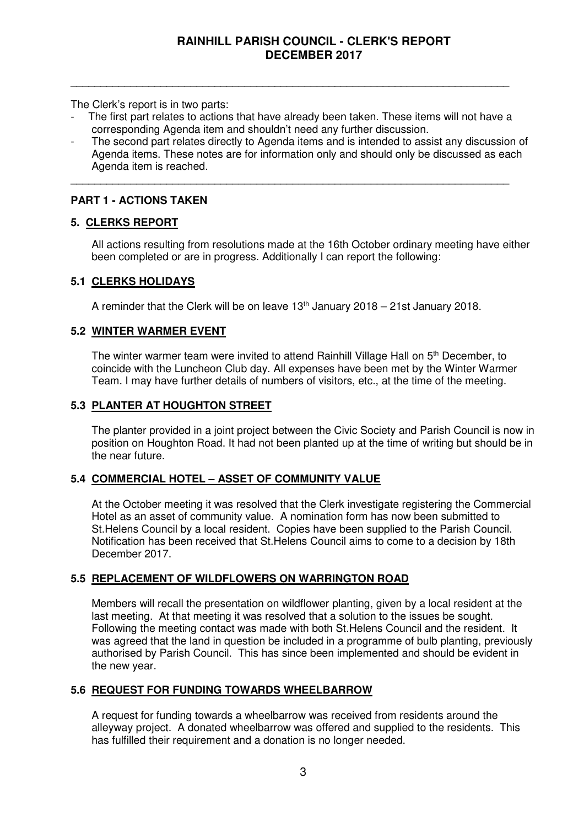The Clerk's report is in two parts:

The first part relates to actions that have already been taken. These items will not have a corresponding Agenda item and shouldn't need any further discussion.

\_\_\_\_\_\_\_\_\_\_\_\_\_\_\_\_\_\_\_\_\_\_\_\_\_\_\_\_\_\_\_\_\_\_\_\_\_\_\_\_\_\_\_\_\_\_\_\_\_\_\_\_\_\_\_\_\_\_\_\_\_\_\_\_\_\_\_\_\_\_\_\_\_

\_\_\_\_\_\_\_\_\_\_\_\_\_\_\_\_\_\_\_\_\_\_\_\_\_\_\_\_\_\_\_\_\_\_\_\_\_\_\_\_\_\_\_\_\_\_\_\_\_\_\_\_\_\_\_\_\_\_\_\_\_\_\_\_\_\_\_\_\_\_\_\_\_

The second part relates directly to Agenda items and is intended to assist any discussion of Agenda items. These notes are for information only and should only be discussed as each Agenda item is reached.

# **PART 1 - ACTIONS TAKEN**

# **5. CLERKS REPORT**

 All actions resulting from resolutions made at the 16th October ordinary meeting have either been completed or are in progress. Additionally I can report the following:

# **5.1 CLERKS HOLIDAYS**

A reminder that the Clerk will be on leave  $13<sup>th</sup>$  January 2018 – 21st January 2018.

# **5.2 WINTER WARMER EVENT**

The winter warmer team were invited to attend Rainhill Village Hall on 5<sup>th</sup> December, to coincide with the Luncheon Club day. All expenses have been met by the Winter Warmer Team. I may have further details of numbers of visitors, etc., at the time of the meeting.

### **5.3 PLANTER AT HOUGHTON STREET**

The planter provided in a joint project between the Civic Society and Parish Council is now in position on Houghton Road. It had not been planted up at the time of writing but should be in the near future.

# **5.4 COMMERCIAL HOTEL – ASSET OF COMMUNITY VALUE**

 At the October meeting it was resolved that the Clerk investigate registering the Commercial Hotel as an asset of community value. A nomination form has now been submitted to St.Helens Council by a local resident. Copies have been supplied to the Parish Council. Notification has been received that St.Helens Council aims to come to a decision by 18th December 2017.

# **5.5 REPLACEMENT OF WILDFLOWERS ON WARRINGTON ROAD**

Members will recall the presentation on wildflower planting, given by a local resident at the last meeting. At that meeting it was resolved that a solution to the issues be sought. Following the meeting contact was made with both St.Helens Council and the resident. It was agreed that the land in question be included in a programme of bulb planting, previously authorised by Parish Council. This has since been implemented and should be evident in the new year.

# **5.6 REQUEST FOR FUNDING TOWARDS WHEELBARROW**

 A request for funding towards a wheelbarrow was received from residents around the alleyway project. A donated wheelbarrow was offered and supplied to the residents. This has fulfilled their requirement and a donation is no longer needed.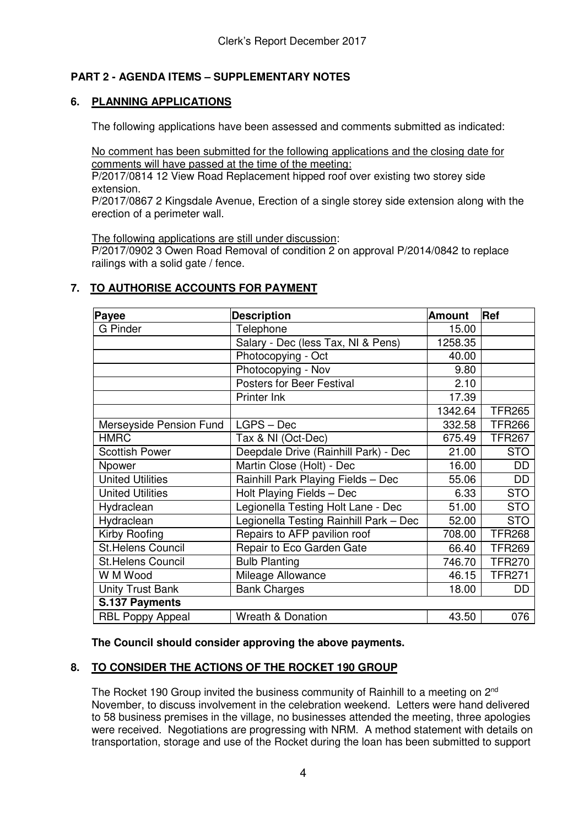# **PART 2 - AGENDA ITEMS – SUPPLEMENTARY NOTES**

# **6. PLANNING APPLICATIONS**

The following applications have been assessed and comments submitted as indicated:

No comment has been submitted for the following applications and the closing date for comments will have passed at the time of the meeting:

P/2017/0814 12 View Road Replacement hipped roof over existing two storey side extension.

P/2017/0867 2 Kingsdale Avenue, Erection of a single storey side extension along with the erection of a perimeter wall.

The following applications are still under discussion:

P/2017/0902 3 Owen Road Removal of condition 2 on approval P/2014/0842 to replace railings with a solid gate / fence.

# **7. TO AUTHORISE ACCOUNTS FOR PAYMENT**

| Payee                    | <b>Description</b>                     | <b>Amount</b> | Ref           |
|--------------------------|----------------------------------------|---------------|---------------|
| <b>G</b> Pinder          | Telephone                              | 15.00         |               |
|                          | Salary - Dec (less Tax, NI & Pens)     | 1258.35       |               |
|                          | Photocopying - Oct                     | 40.00         |               |
|                          | Photocopying - Nov                     | 9.80          |               |
|                          | Posters for Beer Festival              | 2.10          |               |
|                          | Printer Ink                            | 17.39         |               |
|                          |                                        | 1342.64       | <b>TFR265</b> |
| Merseyside Pension Fund  | $LGPS - Dec$                           | 332.58        | <b>TFR266</b> |
| <b>HMRC</b>              | Tax & NI (Oct-Dec)                     | 675.49        | <b>TFR267</b> |
| <b>Scottish Power</b>    | Deepdale Drive (Rainhill Park) - Dec   | 21.00         | <b>STO</b>    |
| Npower                   | Martin Close (Holt) - Dec              | 16.00         | DD            |
| <b>United Utilities</b>  | Rainhill Park Playing Fields - Dec     | 55.06         | DD            |
| <b>United Utilities</b>  | Holt Playing Fields - Dec              | 6.33          | <b>STO</b>    |
| Hydraclean               | Legionella Testing Holt Lane - Dec     | 51.00         | <b>STO</b>    |
| Hydraclean               | Legionella Testing Rainhill Park - Dec | 52.00         | <b>STO</b>    |
| Kirby Roofing            | Repairs to AFP pavilion roof           | 708.00        | <b>TFR268</b> |
| <b>St.Helens Council</b> | Repair to Eco Garden Gate              | 66.40         | <b>TFR269</b> |
| <b>St.Helens Council</b> | <b>Bulb Planting</b>                   | 746.70        | <b>TFR270</b> |
| W M Wood                 | Mileage Allowance                      | 46.15         | <b>TFR271</b> |
| <b>Unity Trust Bank</b>  | <b>Bank Charges</b>                    | 18.00         | DD            |
| S.137 Payments           |                                        |               |               |
| <b>RBL Poppy Appeal</b>  | <b>Wreath &amp; Donation</b>           | 43.50         | 076           |

**The Council should consider approving the above payments.**

# **8. TO CONSIDER THE ACTIONS OF THE ROCKET 190 GROUP**

The Rocket 190 Group invited the business community of Rainhill to a meeting on 2<sup>nd</sup> November, to discuss involvement in the celebration weekend. Letters were hand delivered to 58 business premises in the village, no businesses attended the meeting, three apologies were received. Negotiations are progressing with NRM. A method statement with details on transportation, storage and use of the Rocket during the loan has been submitted to support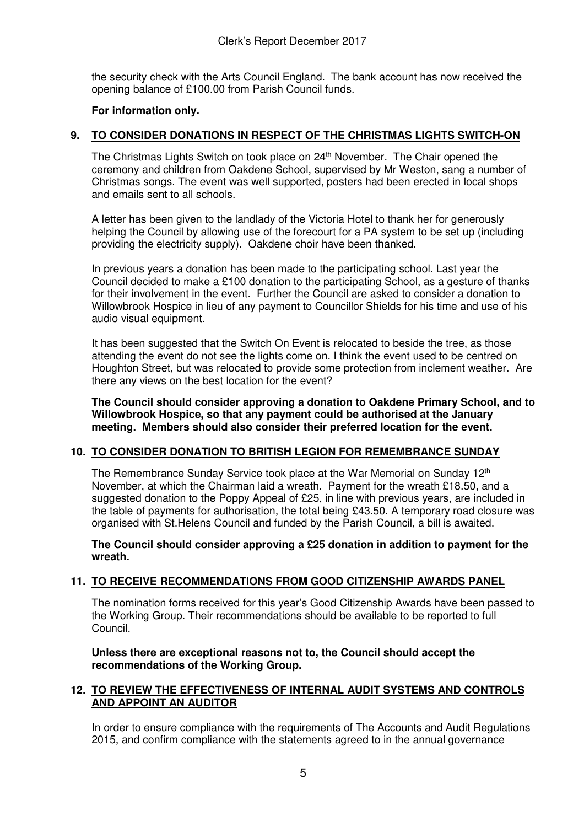the security check with the Arts Council England. The bank account has now received the opening balance of £100.00 from Parish Council funds.

# **For information only.**

# **9. TO CONSIDER DONATIONS IN RESPECT OF THE CHRISTMAS LIGHTS SWITCH-ON**

The Christmas Lights Switch on took place on 24<sup>th</sup> November. The Chair opened the ceremony and children from Oakdene School, supervised by Mr Weston, sang a number of Christmas songs. The event was well supported, posters had been erected in local shops and emails sent to all schools.

A letter has been given to the landlady of the Victoria Hotel to thank her for generously helping the Council by allowing use of the forecourt for a PA system to be set up (including providing the electricity supply). Oakdene choir have been thanked.

In previous years a donation has been made to the participating school. Last year the Council decided to make a £100 donation to the participating School, as a gesture of thanks for their involvement in the event. Further the Council are asked to consider a donation to Willowbrook Hospice in lieu of any payment to Councillor Shields for his time and use of his audio visual equipment.

It has been suggested that the Switch On Event is relocated to beside the tree, as those attending the event do not see the lights come on. I think the event used to be centred on Houghton Street, but was relocated to provide some protection from inclement weather. Are there any views on the best location for the event?

**The Council should consider approving a donation to Oakdene Primary School, and to Willowbrook Hospice, so that any payment could be authorised at the January meeting. Members should also consider their preferred location for the event.** 

# **10. TO CONSIDER DONATION TO BRITISH LEGION FOR REMEMBRANCE SUNDAY**

The Remembrance Sunday Service took place at the War Memorial on Sunday 12<sup>th</sup> November, at which the Chairman laid a wreath. Payment for the wreath £18.50, and a suggested donation to the Poppy Appeal of £25, in line with previous years, are included in the table of payments for authorisation, the total being £43.50. A temporary road closure was organised with St.Helens Council and funded by the Parish Council, a bill is awaited.

**The Council should consider approving a £25 donation in addition to payment for the wreath.**

# **11. TO RECEIVE RECOMMENDATIONS FROM GOOD CITIZENSHIP AWARDS PANEL**

The nomination forms received for this year's Good Citizenship Awards have been passed to the Working Group. Their recommendations should be available to be reported to full Council.

**Unless there are exceptional reasons not to, the Council should accept the recommendations of the Working Group.** 

# **12. TO REVIEW THE EFFECTIVENESS OF INTERNAL AUDIT SYSTEMS AND CONTROLS AND APPOINT AN AUDITOR**

In order to ensure compliance with the requirements of The Accounts and Audit Regulations 2015, and confirm compliance with the statements agreed to in the annual governance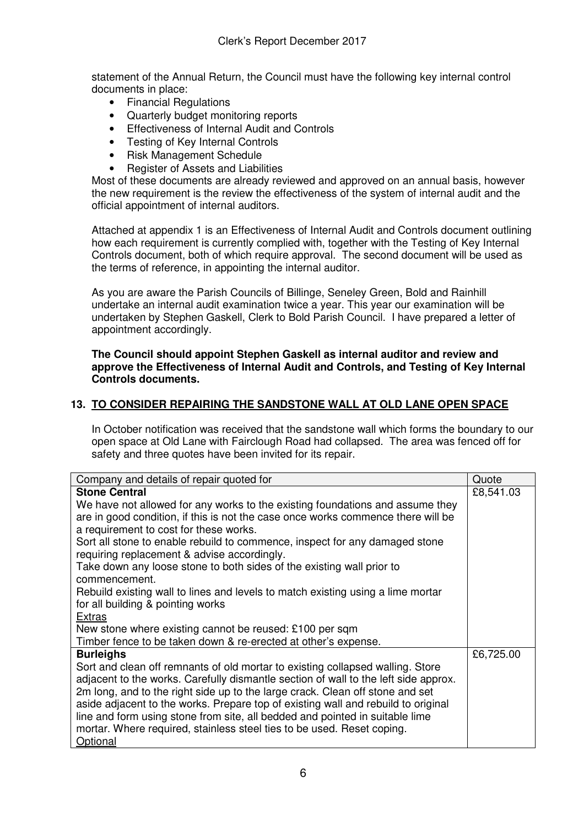statement of the Annual Return, the Council must have the following key internal control documents in place:

- Financial Regulations
- Quarterly budget monitoring reports
- Effectiveness of Internal Audit and Controls
- Testing of Key Internal Controls
- Risk Management Schedule
- Register of Assets and Liabilities

Most of these documents are already reviewed and approved on an annual basis, however the new requirement is the review the effectiveness of the system of internal audit and the official appointment of internal auditors.

Attached at appendix 1 is an Effectiveness of Internal Audit and Controls document outlining how each requirement is currently complied with, together with the Testing of Key Internal Controls document, both of which require approval. The second document will be used as the terms of reference, in appointing the internal auditor.

As you are aware the Parish Councils of Billinge, Seneley Green, Bold and Rainhill undertake an internal audit examination twice a year. This year our examination will be undertaken by Stephen Gaskell, Clerk to Bold Parish Council. I have prepared a letter of appointment accordingly.

### **The Council should appoint Stephen Gaskell as internal auditor and review and approve the Effectiveness of Internal Audit and Controls, and Testing of Key Internal Controls documents.**

# **13. TO CONSIDER REPAIRING THE SANDSTONE WALL AT OLD LANE OPEN SPACE**

In October notification was received that the sandstone wall which forms the boundary to our open space at Old Lane with Fairclough Road had collapsed. The area was fenced off for safety and three quotes have been invited for its repair.

| Company and details of repair quoted for                                            | Quote     |
|-------------------------------------------------------------------------------------|-----------|
| <b>Stone Central</b>                                                                | £8,541.03 |
| We have not allowed for any works to the existing foundations and assume they       |           |
| are in good condition, if this is not the case once works commence there will be    |           |
| a requirement to cost for these works.                                              |           |
| Sort all stone to enable rebuild to commence, inspect for any damaged stone         |           |
| requiring replacement & advise accordingly.                                         |           |
| Take down any loose stone to both sides of the existing wall prior to               |           |
| commencement.                                                                       |           |
| Rebuild existing wall to lines and levels to match existing using a lime mortar     |           |
| for all building & pointing works                                                   |           |
| <b>Extras</b>                                                                       |           |
| New stone where existing cannot be reused: £100 per sqm                             |           |
| Timber fence to be taken down & re-erected at other's expense.                      |           |
| <b>Burleighs</b>                                                                    | £6,725.00 |
| Sort and clean off remnants of old mortar to existing collapsed walling. Store      |           |
| adjacent to the works. Carefully dismantle section of wall to the left side approx. |           |
| 2m long, and to the right side up to the large crack. Clean off stone and set       |           |
| aside adjacent to the works. Prepare top of existing wall and rebuild to original   |           |
| line and form using stone from site, all bedded and pointed in suitable lime        |           |
| mortar. Where required, stainless steel ties to be used. Reset coping.              |           |
| Optional                                                                            |           |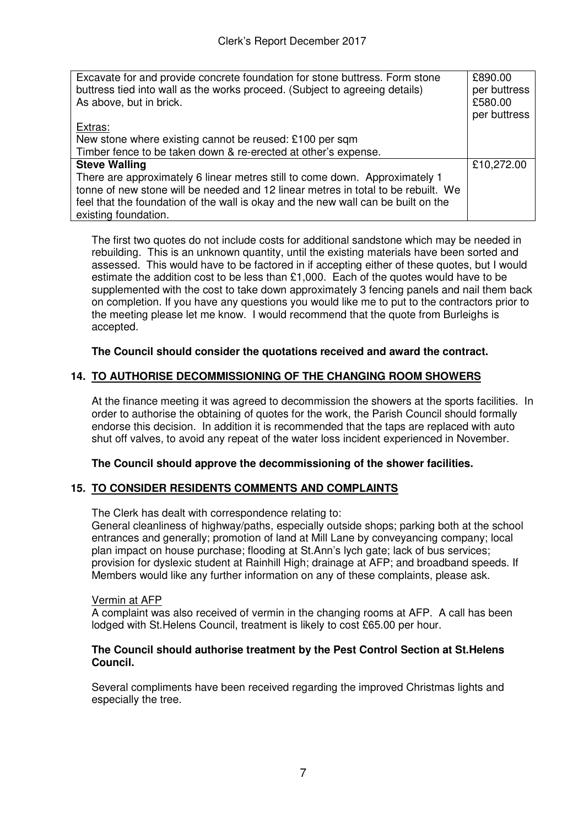| Excavate for and provide concrete foundation for stone buttress. Form stone<br>buttress tied into wall as the works proceed. (Subject to agreeing details)<br>As above, but in brick. | £890.00<br>per buttress<br>£580.00<br>per buttress |
|---------------------------------------------------------------------------------------------------------------------------------------------------------------------------------------|----------------------------------------------------|
| Extras:                                                                                                                                                                               |                                                    |
| New stone where existing cannot be reused: £100 per sqm                                                                                                                               |                                                    |
| Timber fence to be taken down & re-erected at other's expense.                                                                                                                        |                                                    |
| <b>Steve Walling</b>                                                                                                                                                                  | £10,272.00                                         |
| There are approximately 6 linear metres still to come down. Approximately 1                                                                                                           |                                                    |
| tonne of new stone will be needed and 12 linear metres in total to be rebuilt. We                                                                                                     |                                                    |
| feel that the foundation of the wall is okay and the new wall can be built on the                                                                                                     |                                                    |
| existing foundation.                                                                                                                                                                  |                                                    |

The first two quotes do not include costs for additional sandstone which may be needed in rebuilding. This is an unknown quantity, until the existing materials have been sorted and assessed. This would have to be factored in if accepting either of these quotes, but I would estimate the addition cost to be less than £1,000. Each of the quotes would have to be supplemented with the cost to take down approximately 3 fencing panels and nail them back on completion. If you have any questions you would like me to put to the contractors prior to the meeting please let me know. I would recommend that the quote from Burleighs is accepted.

# **The Council should consider the quotations received and award the contract.**

# **14. TO AUTHORISE DECOMMISSIONING OF THE CHANGING ROOM SHOWERS**

At the finance meeting it was agreed to decommission the showers at the sports facilities. In order to authorise the obtaining of quotes for the work, the Parish Council should formally endorse this decision. In addition it is recommended that the taps are replaced with auto shut off valves, to avoid any repeat of the water loss incident experienced in November.

# **The Council should approve the decommissioning of the shower facilities.**

# **15. TO CONSIDER RESIDENTS COMMENTS AND COMPLAINTS**

The Clerk has dealt with correspondence relating to:

General cleanliness of highway/paths, especially outside shops; parking both at the school entrances and generally; promotion of land at Mill Lane by conveyancing company; local plan impact on house purchase; flooding at St.Ann's lych gate; lack of bus services; provision for dyslexic student at Rainhill High; drainage at AFP; and broadband speeds. If Members would like any further information on any of these complaints, please ask.

# Vermin at AFP

A complaint was also received of vermin in the changing rooms at AFP. A call has been lodged with St.Helens Council, treatment is likely to cost £65.00 per hour.

# **The Council should authorise treatment by the Pest Control Section at St.Helens Council.**

Several compliments have been received regarding the improved Christmas lights and especially the tree.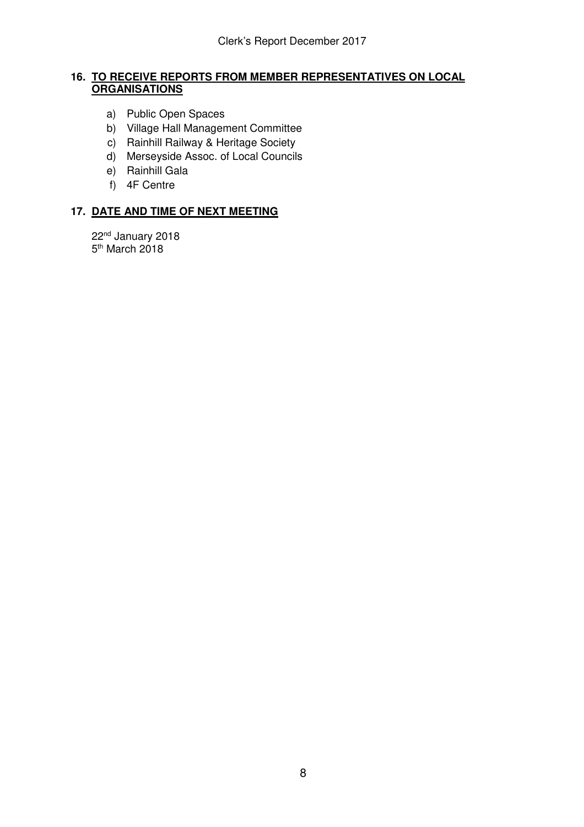# **16. TO RECEIVE REPORTS FROM MEMBER REPRESENTATIVES ON LOCAL ORGANISATIONS**

- a) Public Open Spaces
- b) Village Hall Management Committee
- c) Rainhill Railway & Heritage Society
- d) Merseyside Assoc. of Local Councils
- e) Rainhill Gala
- f) 4F Centre

# **17. DATE AND TIME OF NEXT MEETING**

22nd January 2018 5<sup>th</sup> March 2018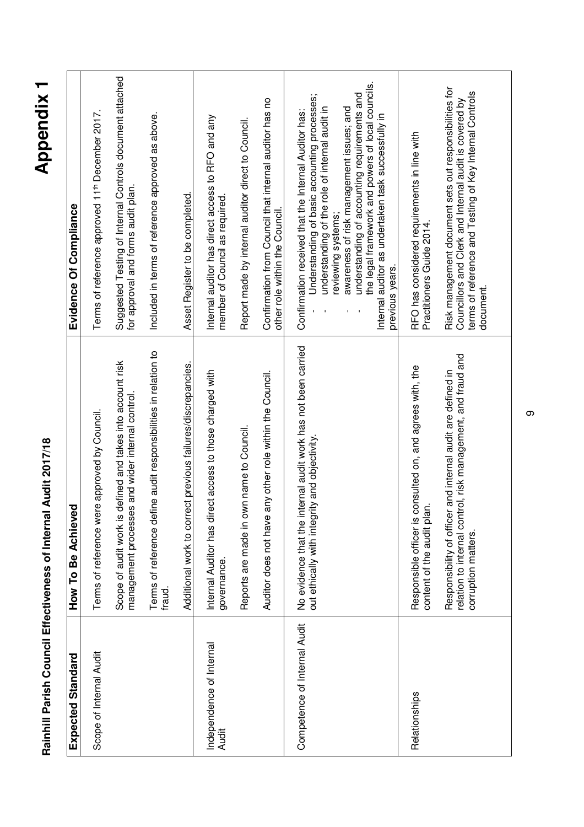| <b>CHAPLE</b>                                |  |
|----------------------------------------------|--|
| :<br>(                                       |  |
| i<br>S<br>i<br>S                             |  |
| i<br>j<br>$\overline{\phantom{a}}$<br>i<br>. |  |
| J                                            |  |
|                                              |  |

| 7<br>ς |
|--------|
| О      |
| Ç      |
| ω      |
| С      |
| ι.,    |
| ٤      |

| Expected Standard                        | How To Be Achieved                                                                                                                                      | Evidence Of Compliance                                                                                                                                                                                                                                                                                                                                                                                                    |
|------------------------------------------|---------------------------------------------------------------------------------------------------------------------------------------------------------|---------------------------------------------------------------------------------------------------------------------------------------------------------------------------------------------------------------------------------------------------------------------------------------------------------------------------------------------------------------------------------------------------------------------------|
| Scope of Internal Audit                  | Terms of reference were approved by Council.                                                                                                            | Terms of reference approved 11th December 2017.                                                                                                                                                                                                                                                                                                                                                                           |
|                                          | defined and takes into account risk<br>management processes and wider internal control<br>Scope of audit work is                                        | Suggested Testing of Internal Controls document attached<br>for approval and forms audit plan.                                                                                                                                                                                                                                                                                                                            |
|                                          | Terms of reference define audit responsibilities in relation to<br>fraud.                                                                               | Included in terms of reference approved as above.                                                                                                                                                                                                                                                                                                                                                                         |
|                                          | Additional work to correct previous failures/discrepancies.                                                                                             | Asset Register to be completed.                                                                                                                                                                                                                                                                                                                                                                                           |
| Independence of Internal<br><b>Audit</b> | ect access to those charged with<br>Internal Auditor has dir<br>governance.                                                                             | Internal auditor has direct access to RFO and any<br>member of Council as required.                                                                                                                                                                                                                                                                                                                                       |
|                                          | Reports are made in own name to Council.                                                                                                                | Report made by internal auditor direct to Council.                                                                                                                                                                                                                                                                                                                                                                        |
|                                          | any other role within the Council.<br>Auditor does not have                                                                                             | Confirmation from Council that internal auditor has no<br>other role within the Council.                                                                                                                                                                                                                                                                                                                                  |
| Competence of Internal Audit             | No evidence that the internal audit work has not been carried<br>out ethically with integrity and objectivity                                           | the legal framework and powers of local councils.<br>understanding of accounting requirements and<br>Understanding of basic accounting processes;<br>understanding of the role of internal audit in<br>awareness of risk management issues; and<br>Confirmation received that the Internal Auditor has:<br>Internal auditor as undertaken task successfully in<br>reviewing systems;<br>previous years.<br>$\blacksquare$ |
| Relationships                            | Responsible officer is consulted on, and agrees with, the<br>content of the audit plan.                                                                 | RFO has considered requirements in line with<br>Practitioners Guide 2014.                                                                                                                                                                                                                                                                                                                                                 |
|                                          | relation to internal control, risk management, and fraud and<br>r and internal audit are defined in<br>Responsibility of officer<br>corruption matters. | Risk management document sets out responsibilities for<br>terms of reference and Testing of Key Internal Controls<br>Councillors and Clerk and Internal audit is covered by<br>document.                                                                                                                                                                                                                                  |

 $\infty$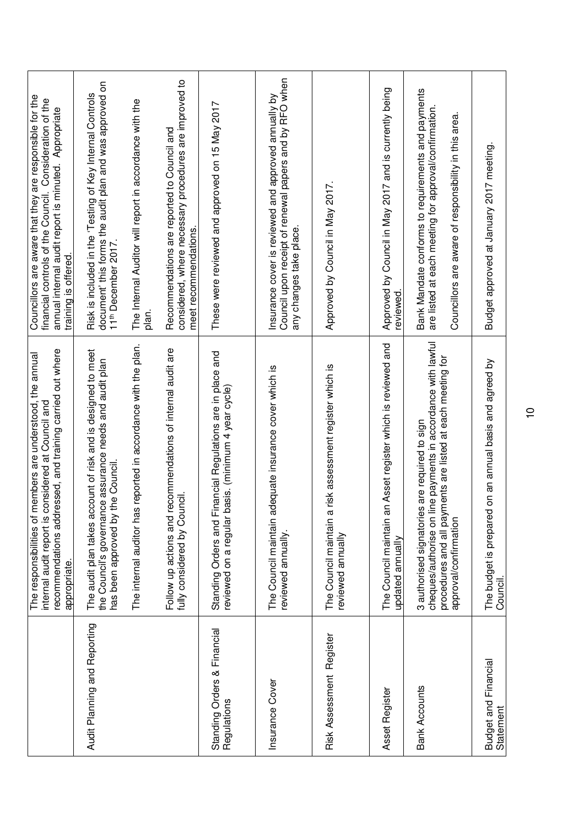|                                            | recommendations addressed, and training carried out where<br>members are understood, the annual<br>considered at Council and<br>The responsibilities of<br>internal audit report is<br>appropriate.     | Councillors are aware that they are responsible for the<br>financial controls of the Council. Consideration of the<br>annual internal audit report is minuted. Appropriate<br>training is offered. |
|--------------------------------------------|---------------------------------------------------------------------------------------------------------------------------------------------------------------------------------------------------------|----------------------------------------------------------------------------------------------------------------------------------------------------------------------------------------------------|
| Audit Planning and Reporting               | The audit plan takes account of risk and is designed to meet<br>the Council's governance assurance needs and audit plan<br>has been approved by the Council.                                            | document' this forms the audit plan and was approved on<br>Risk is included in the 'Testing of Key Internal Controls<br>11th December 2017.                                                        |
|                                            | s reported in accordance with the plan.<br>The internal auditor ha                                                                                                                                      | The Internal Auditor will report in accordance with the<br>plan.                                                                                                                                   |
|                                            | recommendations of internal audit are<br>fully considered by Council<br>Follow up actions and                                                                                                           | considered, where necessary procedures are improved to<br>Recommendations are reported to Council and<br>meet recommendations.                                                                     |
| Standing Orders & Financial<br>Regulations | Standing Orders and Financial Regulations are in place and<br>basis. (minimum 4 year cycle)<br>reviewed on a regular                                                                                    | These were reviewed and approved on 15 May 2017                                                                                                                                                    |
| Insurance Cover                            | The Council maintain adequate insurance cover which is<br>reviewed annually.                                                                                                                            | Council upon receipt of renewal papers and by RFO when<br>Insurance cover is reviewed and approved annually by<br>any changes take place.                                                          |
| Risk Assessment Register                   | The Council maintain a risk assessment register which is<br>reviewed annually                                                                                                                           | Approved by Council in May 2017.                                                                                                                                                                   |
| Asset Register                             | The Council maintain an Asset register which is reviewed and<br>updated annually                                                                                                                        | Approved by Council in May 2017 and is currently being<br>reviewed.                                                                                                                                |
| <b>Bank Accounts</b>                       | line payments in accordance with lawful<br>procedures and all payments are listed at each meeting for<br>3 authorised signatories are required to sign<br>cheques/authorise on<br>approval/confirmation | Bank Mandate conforms to requirements and payments<br>are listed at each meeting for approval/confirmation.<br>Councillors are aware of responsibility in this area.                               |
| <b>Budget and Financial</b><br>Statement   | The budget is prepared on an annual basis and agreed by<br>Council.                                                                                                                                     | Budget approved at January 2017 meeting.                                                                                                                                                           |

 $\overline{0}$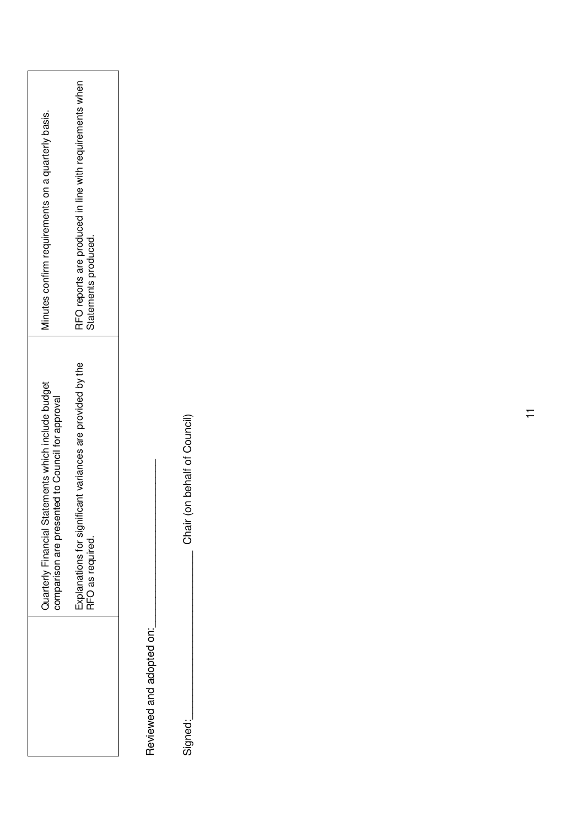| Minutes confirm requirements on a quarterly basis.                                                      | RFO reports are produced in line with requirements when<br>Statements produced. |
|---------------------------------------------------------------------------------------------------------|---------------------------------------------------------------------------------|
| Quarterly Financial Statements which include budget<br>comparison are presented to Council for approval | Explanations for significant variances are provided by the<br>RFO as required.  |
|                                                                                                         |                                                                                 |

Reviewed and adopted on: Reviewed and adopted on:

Signed:

Chair (on behalf of Council) Signed: \_\_\_\_\_\_\_\_\_\_\_\_\_\_\_\_\_\_\_\_\_\_\_\_\_\_\_\_\_\_\_\_\_Chair (on behalf of Council)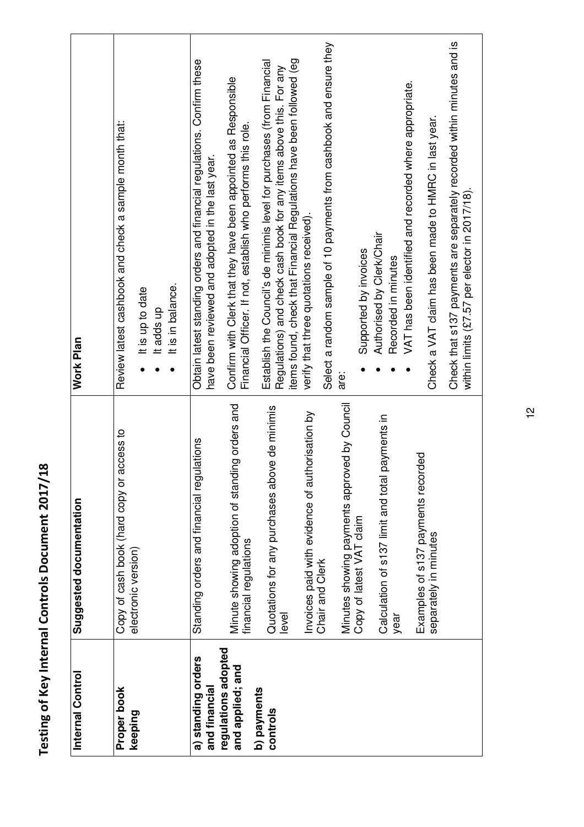| Internal Control                                                                                          | Suggested documentation                                                                                                                                                                                                                                                                                                                                                                        | <b>Work Plan</b>                                                                                                                                                                                                                                                                                                                                                                                                                                                                                                                                                                                                                                                                                                                                        |
|-----------------------------------------------------------------------------------------------------------|------------------------------------------------------------------------------------------------------------------------------------------------------------------------------------------------------------------------------------------------------------------------------------------------------------------------------------------------------------------------------------------------|---------------------------------------------------------------------------------------------------------------------------------------------------------------------------------------------------------------------------------------------------------------------------------------------------------------------------------------------------------------------------------------------------------------------------------------------------------------------------------------------------------------------------------------------------------------------------------------------------------------------------------------------------------------------------------------------------------------------------------------------------------|
| Proper book<br>keeping                                                                                    | access to<br>Copy of cash book (hard copy or<br>electronic version)                                                                                                                                                                                                                                                                                                                            | Review latest cashbook and check a sample month that:<br>It is in balance.<br>It is up to date<br>lt adds up                                                                                                                                                                                                                                                                                                                                                                                                                                                                                                                                                                                                                                            |
| regulations adopted<br>a) standing orders<br>and applied; and<br>and financial<br>b) payments<br>controls | Minutes showing payments approved by Council<br>Copy of latest VAT claim<br>Minute showing adoption of standing orders and<br>Quotations for any purchases above de minimis<br>Invoices paid with evidence of authorisation by<br>payments in<br>Standing orders and financial regulations<br>Calculation of s137 limit and total<br>financial regulations<br>Chair and Clerk<br>level<br>year | Select a random sample of 10 payments from cashbook and ensure they<br>items found, check that Financial Regulations have been followed (eg<br>Obtain latest standing orders and financial regulations. Confirm these<br>Establish the Council's de minimis level for purchases (from Financial<br>Regulations) and check cash book for any items above this. For any<br>Confirm with Clerk that they have been appointed as Responsible<br>VAT has been identified and recorded where appropriate.<br>Financial Officer. If not, establish who performs this role.<br>have been reviewed and adopted in the last year.<br>verify that three quotations received).<br>Authorised by Clerk/Chair<br>Supported by invoices<br>Recorded in minutes<br>are: |
|                                                                                                           | Examples of s137 payments recorded<br>separately in minutes                                                                                                                                                                                                                                                                                                                                    | Check that s137 payments are separately recorded within minutes and is<br>Check a VAT claim has been made to HMRC in last year.<br>within limits (£7.57 per elector in 2017/18).                                                                                                                                                                                                                                                                                                                                                                                                                                                                                                                                                                        |

**Testing of Key Internal Controls Document 2017/18** 

Testing of Key Internal Controls Document 2017/18

12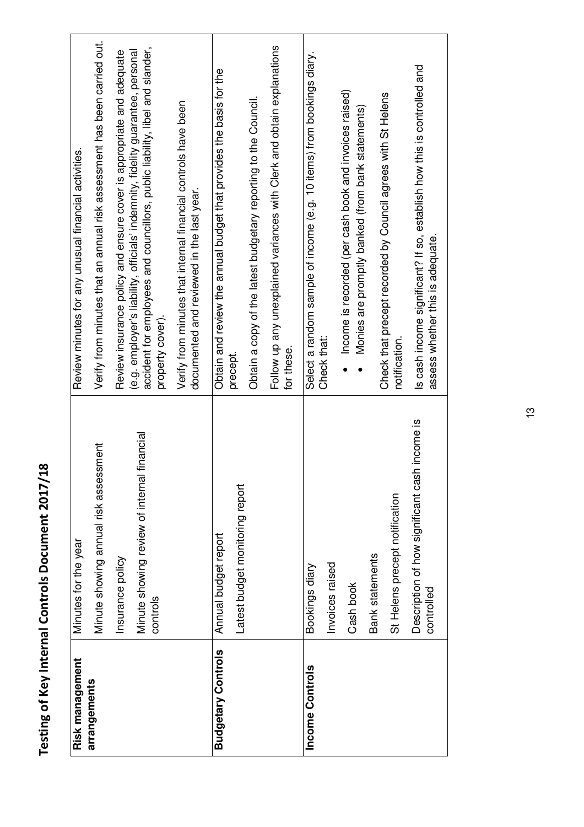| Verify from minutes that an annual risk assessment has been carried out.<br>Follow up any unexplained variances with Clerk and obtain explanations<br>accident for employees and councillors, public liability, libel and slander,<br>Review insurance policy and ensure cover is appropriate and adequate<br>(e.g. employer's liability, officials' indemnity, fidelity guarantee, personal<br>Select a random sample of income (e.g. 10 items) from bookings diary.<br>Obtain and review the annual budget that provides the basis for the<br>Income is recorded (per cash book and invoices raised)<br>Check that precept recorded by Council agrees with St Helens<br>Obtain a copy of the latest budgetary reporting to the Council.<br>Verify from minutes that internal financial controls have been<br>Monies are promptly banked (from bank statements)<br>Review minutes for any unusual financial activities.<br>documented and reviewed in the last year.<br>property cover).<br>Check that:<br>notification.<br>for these.<br>precept. |
|-----------------------------------------------------------------------------------------------------------------------------------------------------------------------------------------------------------------------------------------------------------------------------------------------------------------------------------------------------------------------------------------------------------------------------------------------------------------------------------------------------------------------------------------------------------------------------------------------------------------------------------------------------------------------------------------------------------------------------------------------------------------------------------------------------------------------------------------------------------------------------------------------------------------------------------------------------------------------------------------------------------------------------------------------------|
| Is cash income significant? If so, establish how this is controlled and<br>assess whether this is adequate.                                                                                                                                                                                                                                                                                                                                                                                                                                                                                                                                                                                                                                                                                                                                                                                                                                                                                                                                         |
| h income is<br>financial<br>Minute showing annual risk assessment<br>Description of how significant cash<br>Minute showing review of internal<br>Latest budget monitoring report<br>St Helens precept notification<br>Annual budget report<br>Minutes for the year<br>Bank statements<br>Insurance policy<br>Invoices raised<br>Bookings diary<br>Cash book<br>controlled<br>controls                                                                                                                                                                                                                                                                                                                                                                                                                                                                                                                                                                                                                                                               |
|                                                                                                                                                                                                                                                                                                                                                                                                                                                                                                                                                                                                                                                                                                                                                                                                                                                                                                                                                                                                                                                     |

# Testing of Key Internal Controls Document 2017/18 **Testing of Key Internal Controls Document 2017/18**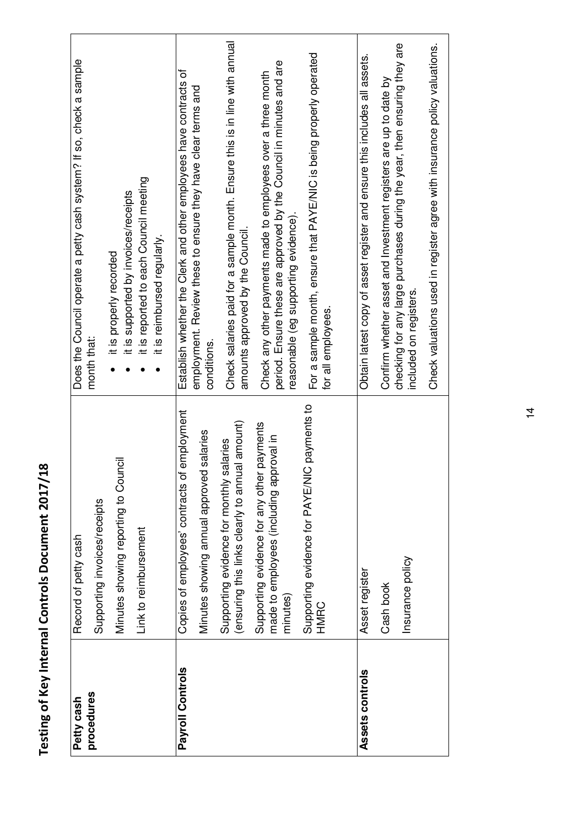| procedures<br>Petty cash | Minutes showing reporting to Council<br>Supporting invoices/receipts<br>Record of petty cash          | Does the Council operate a petty cash system? If so, check a sample<br>it is supported by invoices/receipts<br>it is properly recorded<br>month that:                        |
|--------------------------|-------------------------------------------------------------------------------------------------------|------------------------------------------------------------------------------------------------------------------------------------------------------------------------------|
|                          | Link to reimbursement                                                                                 | it is reported to each Council meeting<br>it is reimbursed regularly.                                                                                                        |
| Payroll Controls         | employment<br>Minutes showing annual approved salaries<br>Copies of employees' contracts of           | Establish whether the Clerk and other employees have contracts of<br>employment. Review these to ensure they have clear terms and<br>conditions.                             |
|                          | lal amount)<br>salaries<br>Supporting evidence for monthly s<br>(ensuring this links clearly to annu  | Check salaries paid for a sample month. Ensure this is in line with annual<br>amounts approved by the Council.                                                               |
|                          | payments<br>made to employees (including approval in<br>Supporting evidence for any other<br>minutes) | period. Ensure these are approved by the Council in minutes and are<br>Check any other payments made to employees over a three month<br>reasonable (eg supporting evidence). |
|                          | Supporting evidence for PAYE/NIC payments to<br>HMRC                                                  | For a sample month, ensure that PAYE/NIC is being properly operated<br>for all employees.                                                                                    |
| Assets controls          | Asset register                                                                                        | Obtain latest copy of asset register and ensure this includes all assets.                                                                                                    |
|                          | Insurance policy<br>Cash book                                                                         | checking for any large purchases during the year, then ensuring they are<br>Confirm whether asset and Investment registers are up to date by<br>included on registers.       |
|                          |                                                                                                       | Check valuations used in register agree with insurance policy valuations.                                                                                                    |

Testing of Key Internal Controls Document 2017/18 **Testing of Key Internal Controls Document 2017/18**